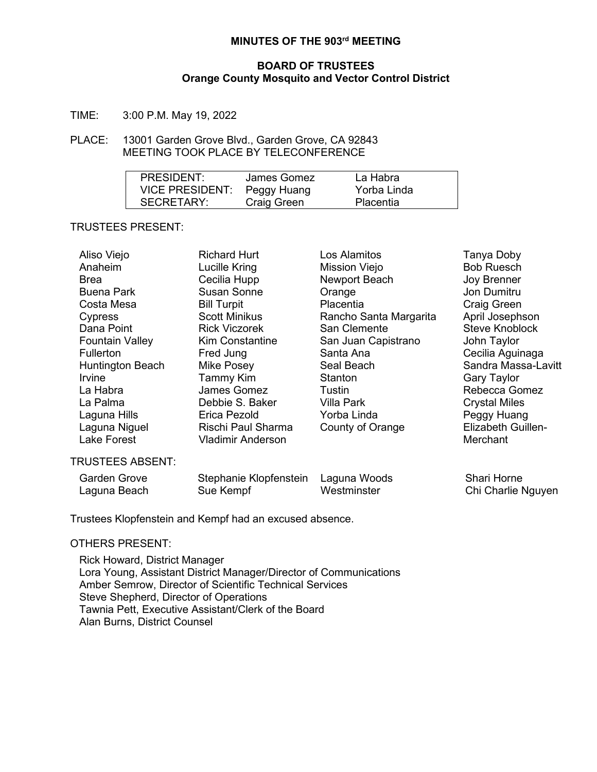# **MINUTES OF THE 903rd MEETING**

### **BOARD OF TRUSTEES Orange County Mosquito and Vector Control District**

TIME: 3:00 P.M. May 19, 2022

### PLACE: 13001 Garden Grove Blvd., Garden Grove, CA 92843 MEETING TOOK PLACE BY TELECONFERENCE

| PRESIDENT:                  | James Gomez | La Habra    |  |
|-----------------------------|-------------|-------------|--|
| VICE PRESIDENT: Peggy Huang |             | Yorba Linda |  |
| SECRETARY:                  | Craig Green | Placentia   |  |

## TRUSTEES PRESENT:

| Aliso Viejo             | <b>Richard Hurt</b>      | Los Alamitos           | Tanya Doby                |
|-------------------------|--------------------------|------------------------|---------------------------|
| Anaheim                 | Lucille Kring            | Mission Viejo          | <b>Bob Ruesch</b>         |
| <b>Brea</b>             | Cecilia Hupp             | Newport Beach          | Joy Brenner               |
| <b>Buena Park</b>       | <b>Susan Sonne</b>       | Orange                 | Jon Dumitru               |
| Costa Mesa              | <b>Bill Turpit</b>       | Placentia              | <b>Craig Green</b>        |
| Cypress                 | <b>Scott Minikus</b>     | Rancho Santa Margarita | April Josephson           |
| Dana Point              | <b>Rick Viczorek</b>     | San Clemente           | <b>Steve Knoblock</b>     |
| <b>Fountain Valley</b>  | <b>Kim Constantine</b>   | San Juan Capistrano    | John Taylor               |
| Fullerton               | Fred Jung                | Santa Ana              | Cecilia Aguinaga          |
| Huntington Beach        | Mike Posey               | Seal Beach             | Sandra Massa-Lavitt       |
| <i>Irvine</i>           | Tammy Kim                | Stanton                | <b>Gary Taylor</b>        |
| La Habra                | James Gomez              | Tustin                 | Rebecca Gomez             |
| La Palma                | Debbie S. Baker          | <b>Villa Park</b>      | <b>Crystal Miles</b>      |
| Laguna Hills            | Erica Pezold             | Yorba Linda            | Peggy Huang               |
| Laguna Niguel           | Rischi Paul Sharma       | County of Orange       | <b>Elizabeth Guillen-</b> |
| <b>Lake Forest</b>      | <b>Vladimir Anderson</b> |                        | Merchant                  |
| <b>TRUSTEES ABSENT:</b> |                          |                        |                           |
| <b>Garden Grove</b>     | Stephanie Klopfenstein   | Laguna Woods           | Shari Horne               |
| Laguna Beach            | Sue Kempf                | Westminster            | Chi Charlie Nguyen        |

Trustees Klopfenstein and Kempf had an excused absence.

#### OTHERS PRESENT:

Rick Howard, District Manager Lora Young, Assistant District Manager/Director of Communications Amber Semrow, Director of Scientific Technical Services Steve Shepherd, Director of Operations Tawnia Pett, Executive Assistant/Clerk of the Board Alan Burns, District Counsel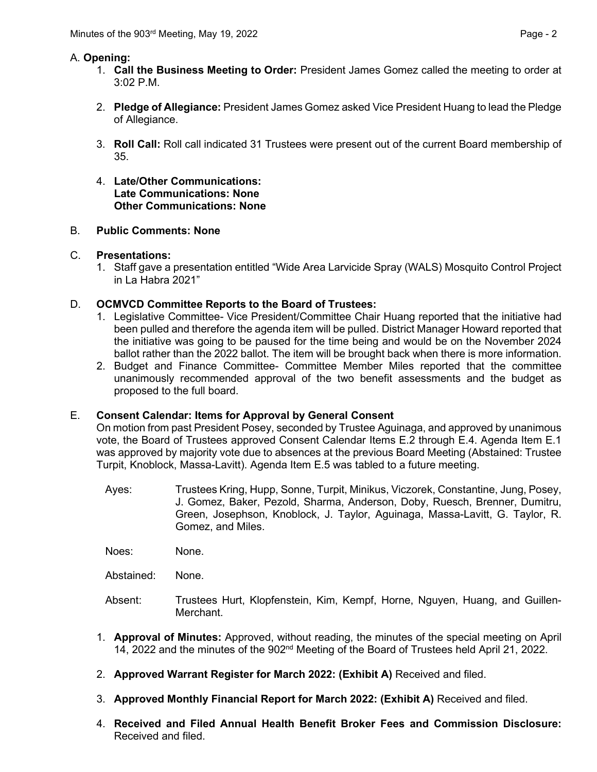# A. **Opening:**

- 1. **Call the Business Meeting to Order:** President James Gomez called the meeting to order at 3:02 P.M.
- 2. **Pledge of Allegiance:** President James Gomez asked Vice President Huang to lead the Pledge of Allegiance.
- 3. **Roll Call:** Roll call indicated 31 Trustees were present out of the current Board membership of 35.
- 4. **Late/Other Communications: Late Communications: None Other Communications: None**

# B. **Public Comments: None**

## C. **Presentations:**

1. Staff gave a presentation entitled "Wide Area Larvicide Spray (WALS) Mosquito Control Project in La Habra 2021"

# D. **OCMVCD Committee Reports to the Board of Trustees:**

- 1. Legislative Committee- Vice President/Committee Chair Huang reported that the initiative had been pulled and therefore the agenda item will be pulled. District Manager Howard reported that the initiative was going to be paused for the time being and would be on the November 2024 ballot rather than the 2022 ballot. The item will be brought back when there is more information.
- 2. Budget and Finance Committee- Committee Member Miles reported that the committee unanimously recommended approval of the two benefit assessments and the budget as proposed to the full board.

## E. **Consent Calendar: Items for Approval by General Consent**

On motion from past President Posey, seconded by Trustee Aguinaga, and approved by unanimous vote, the Board of Trustees approved Consent Calendar Items E.2 through E.4. Agenda Item E.1 was approved by majority vote due to absences at the previous Board Meeting (Abstained: Trustee Turpit, Knoblock, Massa-Lavitt). Agenda Item E.5 was tabled to a future meeting.

Ayes: Trustees Kring, Hupp, Sonne, Turpit, Minikus, Viczorek, Constantine, Jung, Posey, J. Gomez, Baker, Pezold, Sharma, Anderson, Doby, Ruesch, Brenner, Dumitru, Green, Josephson, Knoblock, J. Taylor, Aguinaga, Massa-Lavitt, G. Taylor, R. Gomez, and Miles.

Noes: None.

Abstained: None.

- Absent: Trustees Hurt, Klopfenstein, Kim, Kempf, Horne, Nguyen, Huang, and Guillen-Merchant.
- 1. **Approval of Minutes:** Approved, without reading, the minutes of the special meeting on April 14, 2022 and the minutes of the 902<sup>nd</sup> Meeting of the Board of Trustees held April 21, 2022.
- 2. **Approved Warrant Register for March 2022: (Exhibit A)** Received and filed.
- 3. **Approved Monthly Financial Report for March 2022: (Exhibit A)** Received and filed.
- 4. **Received and Filed Annual Health Benefit Broker Fees and Commission Disclosure:** Received and filed.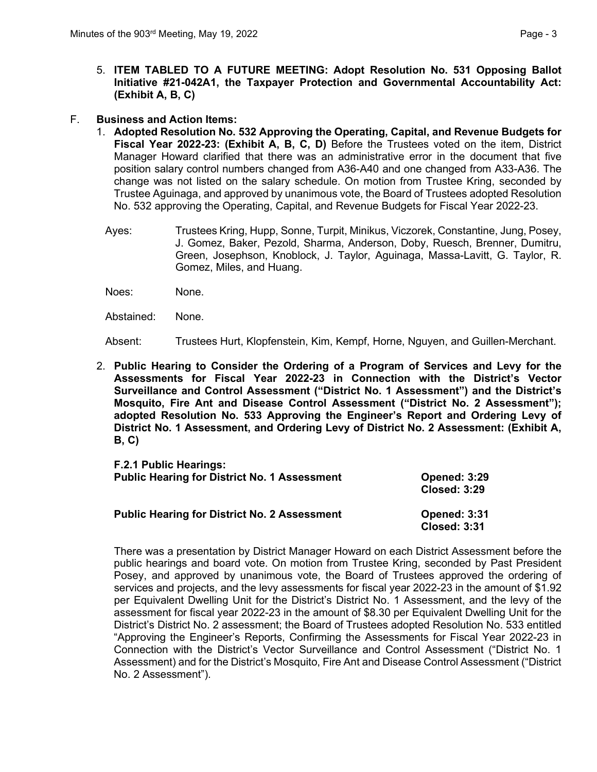- 5. **ITEM TABLED TO A FUTURE MEETING: Adopt Resolution No. 531 Opposing Ballot Initiative #21-042A1, the Taxpayer Protection and Governmental Accountability Act: (Exhibit A, B, C)**
- F. **Business and Action Items:**
	- 1. **Adopted Resolution No. 532 Approving the Operating, Capital, and Revenue Budgets for Fiscal Year 2022-23: (Exhibit A, B, C, D)** Before the Trustees voted on the item, District Manager Howard clarified that there was an administrative error in the document that five position salary control numbers changed from A36-A40 and one changed from A33-A36. The change was not listed on the salary schedule. On motion from Trustee Kring, seconded by Trustee Aguinaga, and approved by unanimous vote, the Board of Trustees adopted Resolution No. 532 approving the Operating, Capital, and Revenue Budgets for Fiscal Year 2022-23.
		- Ayes: Trustees Kring, Hupp, Sonne, Turpit, Minikus, Viczorek, Constantine, Jung, Posey, J. Gomez, Baker, Pezold, Sharma, Anderson, Doby, Ruesch, Brenner, Dumitru, Green, Josephson, Knoblock, J. Taylor, Aguinaga, Massa-Lavitt, G. Taylor, R. Gomez, Miles, and Huang.
		- Noes: None.
		- Abstained: None.

Absent: Trustees Hurt, Klopfenstein, Kim, Kempf, Horne, Nguyen, and Guillen-Merchant.

2. **Public Hearing to Consider the Ordering of a Program of Services and Levy for the Assessments for Fiscal Year 2022-23 in Connection with the District's Vector Surveillance and Control Assessment ("District No. 1 Assessment") and the District's Mosquito, Fire Ant and Disease Control Assessment ("District No. 2 Assessment"); adopted Resolution No. 533 Approving the Engineer's Report and Ordering Levy of District No. 1 Assessment, and Ordering Levy of District No. 2 Assessment: (Exhibit A, B, C)**

| F.2.1 Public Hearings:                              | <b>Opened: 3:29</b>                        |
|-----------------------------------------------------|--------------------------------------------|
| <b>Public Hearing for District No. 1 Assessment</b> | <b>Closed: 3:29</b>                        |
| <b>Public Hearing for District No. 2 Assessment</b> | <b>Opened: 3:31</b><br><b>Closed: 3:31</b> |

There was a presentation by District Manager Howard on each District Assessment before the public hearings and board vote. On motion from Trustee Kring, seconded by Past President Posey, and approved by unanimous vote, the Board of Trustees approved the ordering of services and projects, and the levy assessments for fiscal year 2022-23 in the amount of \$1.92 per Equivalent Dwelling Unit for the District's District No. 1 Assessment, and the levy of the assessment for fiscal year 2022-23 in the amount of \$8.30 per Equivalent Dwelling Unit for the District's District No. 2 assessment; the Board of Trustees adopted Resolution No. 533 entitled "Approving the Engineer's Reports, Confirming the Assessments for Fiscal Year 2022-23 in Connection with the District's Vector Surveillance and Control Assessment ("District No. 1 Assessment) and for the District's Mosquito, Fire Ant and Disease Control Assessment ("District No. 2 Assessment").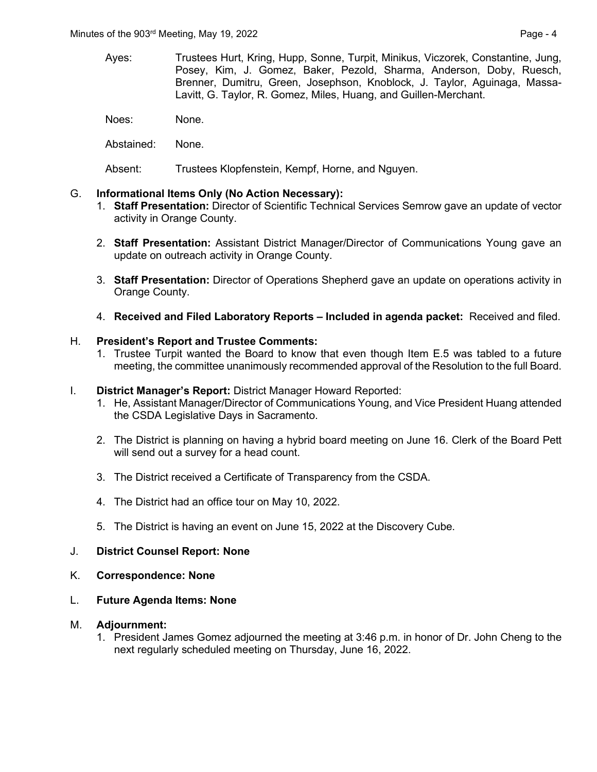- Ayes: Trustees Hurt, Kring, Hupp, Sonne, Turpit, Minikus, Viczorek, Constantine, Jung, Posey, Kim, J. Gomez, Baker, Pezold, Sharma, Anderson, Doby, Ruesch, Brenner, Dumitru, Green, Josephson, Knoblock, J. Taylor, Aguinaga, Massa-Lavitt, G. Taylor, R. Gomez, Miles, Huang, and Guillen-Merchant.
- Noes: None.
- Abstained: None.
- Absent: Trustees Klopfenstein, Kempf, Horne, and Nguyen.

### G. **Informational Items Only (No Action Necessary):**

- 1. **Staff Presentation:** Director of Scientific Technical Services Semrow gave an update of vector activity in Orange County.
- 2. **Staff Presentation:** Assistant District Manager/Director of Communications Young gave an update on outreach activity in Orange County.
- 3. **Staff Presentation:** Director of Operations Shepherd gave an update on operations activity in Orange County.
- 4. **Received and Filed Laboratory Reports – Included in agenda packet:** Received and filed.

### H. **President's Report and Trustee Comments:**

1. Trustee Turpit wanted the Board to know that even though Item E.5 was tabled to a future meeting, the committee unanimously recommended approval of the Resolution to the full Board.

#### I. **District Manager's Report:** District Manager Howard Reported:

- 1. He, Assistant Manager/Director of Communications Young, and Vice President Huang attended the CSDA Legislative Days in Sacramento.
- 2. The District is planning on having a hybrid board meeting on June 16. Clerk of the Board Pett will send out a survey for a head count.
- 3. The District received a Certificate of Transparency from the CSDA.
- 4. The District had an office tour on May 10, 2022.
- 5. The District is having an event on June 15, 2022 at the Discovery Cube.

#### J. **District Counsel Report: None**

- K. **Correspondence: None**
- L. **Future Agenda Items: None**

## M. **Adjournment:**

1. President James Gomez adjourned the meeting at 3:46 p.m. in honor of Dr. John Cheng to the next regularly scheduled meeting on Thursday, June 16, 2022.